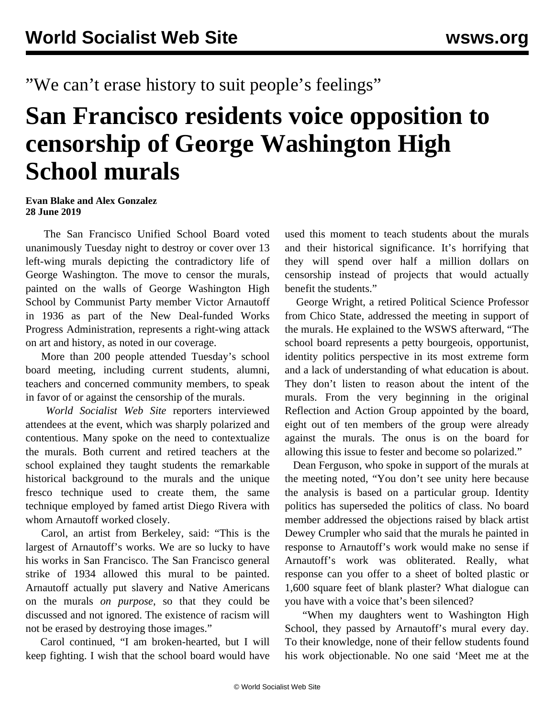"We can't erase history to suit people's feelings"

## **San Francisco residents voice opposition to censorship of George Washington High School murals**

## **Evan Blake and Alex Gonzalez 28 June 2019**

 The San Francisco Unified School Board voted unanimously Tuesday night to destroy or cover over 13 left-wing murals depicting the contradictory life of George Washington. The move to censor the murals, painted on the walls of George Washington High School by Communist Party member Victor Arnautoff in 1936 as part of the New Deal-funded Works Progress Administration, represents a right-wing attack on art and history, as noted in [our coverage.](/en/articles/2019/05/13/mura-m13.html)

 More than 200 people attended Tuesday's school board meeting, including current students, alumni, teachers and concerned community members, to speak in favor of or against the censorship of the murals.

 *World Socialist Web Site* reporters interviewed attendees at the event, which was sharply polarized and contentious. Many spoke on the need to contextualize the murals. Both current and retired teachers at the school explained they taught students the remarkable historical background to the murals and the unique fresco technique used to create them, the same technique employed by famed artist Diego Rivera with whom Arnautoff worked closely.

 Carol, an artist from Berkeley, said: "This is the largest of Arnautoff's works. We are so lucky to have his works in San Francisco. The San Francisco general strike of 1934 allowed this mural to be painted. Arnautoff actually put slavery and Native Americans on the murals *on purpose*, so that they could be discussed and not ignored. The existence of racism will not be erased by destroying those images."

 Carol continued, "I am broken-hearted, but I will keep fighting. I wish that the school board would have

used this moment to teach students about the murals and their historical significance. It's horrifying that they will spend over half a million dollars on censorship instead of projects that would actually benefit the students."

 George Wright, a retired Political Science Professor from Chico State, addressed the meeting in support of the murals. He explained to the WSWS afterward, "The school board represents a petty bourgeois, opportunist, identity politics perspective in its most extreme form and a lack of understanding of what education is about. They don't listen to reason about the intent of the murals. From the very beginning in the original Reflection and Action Group appointed by the board, eight out of ten members of the group were already against the murals. The onus is on the board for allowing this issue to fester and become so polarized."

 Dean Ferguson, who spoke in support of the murals at the meeting noted, "You don't see unity here because the analysis is based on a particular group. Identity politics has superseded the politics of class. No board member addressed the objections raised by black artist Dewey Crumpler who said that the murals he painted in response to Arnautoff's work would make no sense if Arnautoff's work was obliterated. Really, what response can you offer to a sheet of bolted plastic or 1,600 square feet of blank plaster? What dialogue can you have with a voice that's been silenced?

 "When my daughters went to Washington High School, they passed by Arnautoff's mural every day. To their knowledge, none of their fellow students found his work objectionable. No one said 'Meet me at the